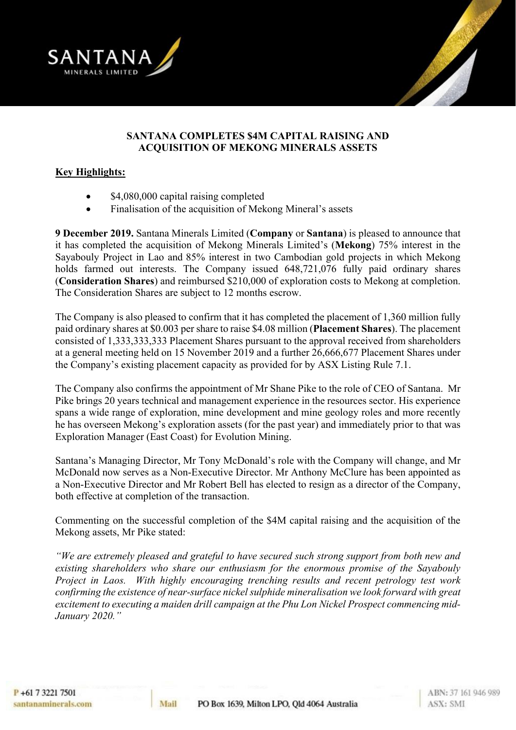



#### **SANTANA COMPLETES \$4M CAPITAL RAISING AND ACQUISITION OF MEKONG MINERALS ASSETS**

#### **Key Highlights:**

- \$4,080,000 capital raising completed
- Finalisation of the acquisition of Mekong Mineral's assets

**9 December 2019.** Santana Minerals Limited (**Company** or **Santana**) is pleased to announce that it has completed the acquisition of Mekong Minerals Limited's (**Mekong**) 75% interest in the Sayabouly Project in Lao and 85% interest in two Cambodian gold projects in which Mekong holds farmed out interests. The Company issued  $648,721,076$  fully paid ordinary shares (**Consideration Shares**) and reimbursed \$210,000 of exploration costs to Mekong at completion. The Consideration Shares are subject to 12 months escrow.

The Company is also pleased to confirm that it has completed the placement of 1,360 million fully paid ordinary shares at \$0.003 per share to raise \$4.08 million (**Placement Shares**). The placement consisted of 1,333,333,333 Placement Shares pursuant to the approval received from shareholders at a general meeting held on 15 November 2019 and a further 26,666,677 Placement Shares under the Company's existing placement capacity as provided for by ASX Listing Rule 7.1.

The Company also confirms the appointment of Mr Shane Pike to the role of CEO of Santana. Mr Pike brings 20 years technical and management experience in the resources sector. His experience spans a wide range of exploration, mine development and mine geology roles and more recently he has overseen Mekong's exploration assets (for the past year) and immediately prior to that was Exploration Manager (East Coast) for Evolution Mining.

Santana's Managing Director, Mr Tony McDonald's role with the Company will change, and Mr McDonald now serves as a Non-Executive Director. Mr Anthony McClure has been appointed as a Non-Executive Director and Mr Robert Bell has elected to resign as a director of the Company, both effective at completion of the transaction.

Commenting on the successful completion of the \$4M capital raising and the acquisition of the Mekong assets, Mr Pike stated:

*"We are extremely pleased and grateful to have secured such strong support from both new and existing shareholders who share our enthusiasm for the enormous promise of the Sayabouly Project in Laos. With highly encouraging trenching results and recent petrology test work confirming the existence of near-surface nickel sulphide mineralisation we look forward with great excitement to executing a maiden drill campaign at the Phu Lon Nickel Prospect commencing mid-January 2020."*

Mail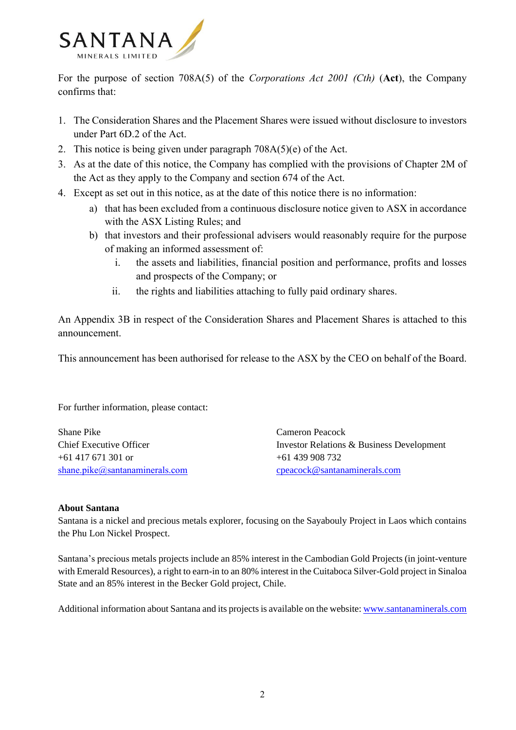

For the purpose of section 708A(5) of the *Corporations Act 2001 (Cth)* (**Act**), the Company confirms that:

- 1. The Consideration Shares and the Placement Shares were issued without disclosure to investors under Part 6D.2 of the Act.
- 2. This notice is being given under paragraph 708A(5)(e) of the Act.
- 3. As at the date of this notice, the Company has complied with the provisions of Chapter 2M of the Act as they apply to the Company and section 674 of the Act.
- 4. Except as set out in this notice, as at the date of this notice there is no information:
	- a) that has been excluded from a continuous disclosure notice given to ASX in accordance with the ASX Listing Rules; and
	- b) that investors and their professional advisers would reasonably require for the purpose of making an informed assessment of:
		- i. the assets and liabilities, financial position and performance, profits and losses and prospects of the Company; or
		- ii. the rights and liabilities attaching to fully paid ordinary shares.

An Appendix 3B in respect of the Consideration Shares and Placement Shares is attached to this announcement.

This announcement has been authorised for release to the ASX by the CEO on behalf of the Board.

For further information, please contact:

Shane Pike Cameron Peacock +61 417 671 301 or +61 439 908 732 [shane.pike@santanaminerals.com](mailto:shanepike@mekongminerals.com) [cpeacock@santanaminerals.com](mailto:cpeacock@santanaminerals.com)

Chief Executive Officer Investor Relations & Business Development

#### **About Santana**

Santana is a nickel and precious metals explorer, focusing on the Sayabouly Project in Laos which contains the Phu Lon Nickel Prospect.

Santana's precious metals projects include an 85% interest in the Cambodian Gold Projects (in joint-venture with Emerald Resources), a right to earn-in to an 80% interest in the Cuitaboca Silver-Gold project in Sinaloa State and an 85% interest in the Becker Gold project, Chile.

Additional information about Santana and its projects is available on the website[: www.santanaminerals.com](http://www.santanaminerals.com/)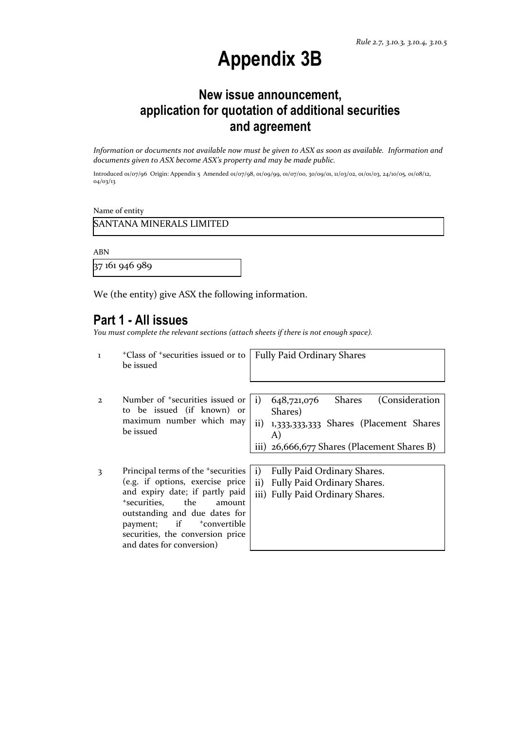## **Appendix 3B**

## **New issue announcement, application for quotation of additional securities and agreement**

*Information or documents not available now must be given to ASX as soon as available. Information and documents given to ASX become ASX's property and may be made public.*

Introduced 01/07/96 Origin: Appendix 5 Amended 01/07/98, 01/09/99, 01/07/00, 30/09/01, 11/03/02, 01/01/03, 24/10/05, 01/08/12, 04/03/13

Name of entity

and dates for conversion)

ABN

37 161 946 989

We (the entity) give ASX the following information.

#### **Part 1 - All issues**

*You must complete the relevant sections (attach sheets if there is not enough space).*

1 <sup>+</sup>Class of +securities issued or to be issued Fully Paid Ordinary Shares 2 Number of +securities issued or to be issued (if known) or maximum number which may be issued i) 648,721,076 Shares (Consideration Shares) ii) 1,333,333,333 Shares (Placement Shares A) iii) 26,666,677 Shares (Placement Shares B) 3 Principal terms of the +securities (e.g. if options, exercise price and expiry date; if partly paid <sup>+</sup>securities, the amount outstanding and due dates for payment; if  $+$ convertible securities, the conversion price i) Fully Paid Ordinary Shares. ii) Fully Paid Ordinary Shares. iii) Fully Paid Ordinary Shares.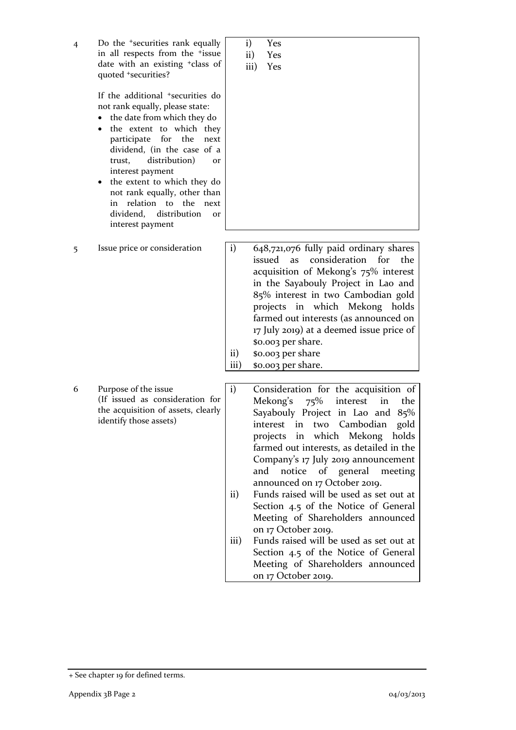| 4 | Do the <sup>+</sup> securities rank equally<br>in all respects from the <sup>+</sup> issue<br>date with an existing <sup>+</sup> class of<br>quoted +securities?                                                                                                                                                                                                                                                                                         | i)<br>Yes<br>$\mathbf{ii}$<br>Yes<br>iii)<br>Yes                                                                                                                                                                                                                                                                                                                                                                                                                                                                                                                                                                                                                                          |
|---|----------------------------------------------------------------------------------------------------------------------------------------------------------------------------------------------------------------------------------------------------------------------------------------------------------------------------------------------------------------------------------------------------------------------------------------------------------|-------------------------------------------------------------------------------------------------------------------------------------------------------------------------------------------------------------------------------------------------------------------------------------------------------------------------------------------------------------------------------------------------------------------------------------------------------------------------------------------------------------------------------------------------------------------------------------------------------------------------------------------------------------------------------------------|
|   | If the additional <sup>+</sup> securities do<br>not rank equally, please state:<br>the date from which they do<br>$\bullet$<br>the extent to which they<br>participate<br>for<br>the<br>next<br>dividend, (in the case of a<br>distribution)<br>trust,<br>or<br>interest payment<br>the extent to which they do<br>$\bullet$<br>not rank equally, other than<br>in relation to the<br>next<br>distribution<br>dividend,<br><b>or</b><br>interest payment |                                                                                                                                                                                                                                                                                                                                                                                                                                                                                                                                                                                                                                                                                           |
| 5 | Issue price or consideration                                                                                                                                                                                                                                                                                                                                                                                                                             | 648,721,076 fully paid ordinary shares<br>$\mathbf{i}$<br>issued<br>consideration for<br>as<br>the<br>acquisition of Mekong's 75% interest<br>in the Sayabouly Project in Lao and<br>85% interest in two Cambodian gold<br>projects in which Mekong holds<br>farmed out interests (as announced on<br>17 July 2019) at a deemed issue price of<br>\$0.003 per share.<br>\$0.003 per share<br>$\rm ii)$<br>iii)<br>\$0.003 per share.                                                                                                                                                                                                                                                      |
| 6 | Purpose of the issue<br>(If issued as consideration for<br>the acquisition of assets, clearly<br>identify those assets)                                                                                                                                                                                                                                                                                                                                  | $\mathbf{i}$<br>Consideration for the acquisition of<br>Mekong's<br>$75\%$<br>interest<br>in<br>the<br>Sayabouly Project in Lao and 85%<br>interest in two Cambodian<br>gold<br>in which Mekong holds<br>projects<br>farmed out interests, as detailed in the<br>Company's 17 July 2019 announcement<br>and notice of general meeting<br>announced on 17 October 2019.<br>Funds raised will be used as set out at<br>$\rm ii)$<br>Section 4.5 of the Notice of General<br>Meeting of Shareholders announced<br>on 17 October 2019.<br>Funds raised will be used as set out at<br>iii)<br>Section 4.5 of the Notice of General<br>Meeting of Shareholders announced<br>on 17 October 2019. |
|   |                                                                                                                                                                                                                                                                                                                                                                                                                                                          |                                                                                                                                                                                                                                                                                                                                                                                                                                                                                                                                                                                                                                                                                           |

<sup>+</sup> See chapter 19 for defined terms.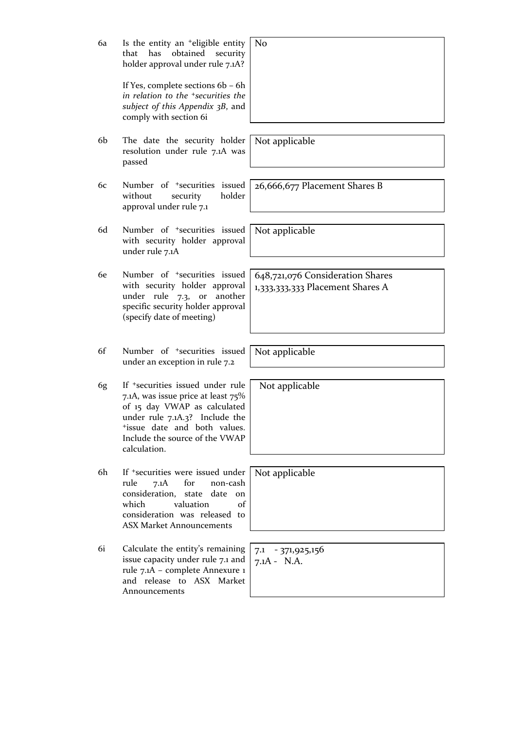| 6a | Is the entity an <sup>+</sup> eligible entity<br>that<br>has<br>obtained<br>security<br>holder approval under rule 7.1A?<br>If Yes, complete sections 6b - 6h<br>in relation to the <sup>+</sup> securities the<br>subject of this Appendix 3B, and<br>comply with section 6i | N <sub>o</sub>                                                       |
|----|-------------------------------------------------------------------------------------------------------------------------------------------------------------------------------------------------------------------------------------------------------------------------------|----------------------------------------------------------------------|
|    |                                                                                                                                                                                                                                                                               |                                                                      |
| 6b | The date the security holder<br>resolution under rule 7.1A was<br>passed                                                                                                                                                                                                      | Not applicable                                                       |
| 6c | Number of <sup>+</sup> securities issued<br>holder<br>without<br>security<br>approval under rule 7.1                                                                                                                                                                          | 26,666,677 Placement Shares B                                        |
| 6d | Number of <sup>+</sup> securities issued<br>with security holder approval<br>under rule 7.1A                                                                                                                                                                                  | Not applicable                                                       |
| 6e | Number of <sup>+</sup> securities issued<br>with security holder approval<br>under rule 7.3, or<br>another<br>specific security holder approval<br>(specify date of meeting)                                                                                                  | 648,721,076 Consideration Shares<br>1,333,333,333 Placement Shares A |
| 6f | Number of <sup>+</sup> securities issued<br>under an exception in rule 7.2                                                                                                                                                                                                    | Not applicable                                                       |
| 6g | If <sup>+</sup> securities issued under rule<br>7.1A, was issue price at least 75%<br>of 15 day VWAP as calculated<br>under rule 7.1A.3? Include the<br>tissue date and both values.<br>Include the source of the VWAP<br>calculation.                                        | Not applicable                                                       |
| 6h | If <sup>+</sup> securities were issued under<br>7.1A<br>for<br>non-cash<br>rule<br>consideration,<br>date<br>state<br><sub>on</sub><br>valuation<br>which<br>of<br>consideration was released to<br><b>ASX Market Announcements</b>                                           | Not applicable                                                       |
| 6i | Calculate the entity's remaining<br>issue capacity under rule 7.1 and<br>rule 7.1A - complete Annexure 1<br>and release to ASX Market<br>Announcements                                                                                                                        | 7.1 - 371,925,156<br>$7.1A - N.A.$                                   |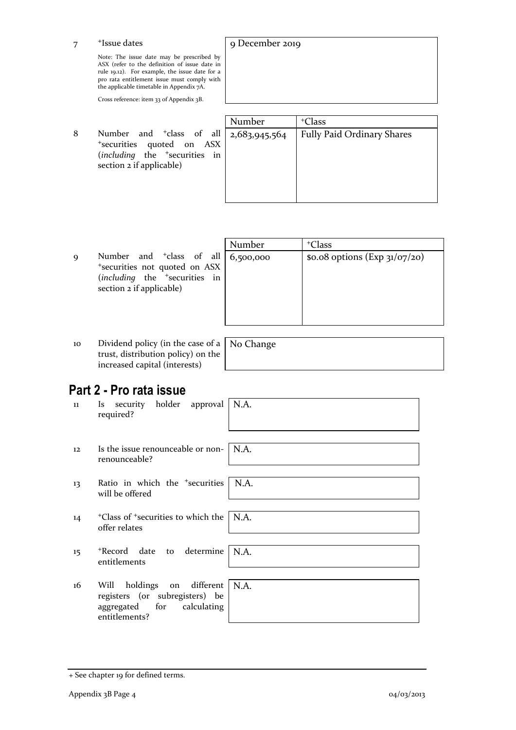7 <sup>+</sup>Issue dates

> Note: The issue date may be prescribed by ASX (refer to the definition of issue date in rule 19.12). For example, the issue date for a pro rata entitlement issue must comply with the applicable timetable in Appendix 7A.

Cross reference: item 33 of Appendix 3B.

8 Number and <sup>+</sup>class of all <sup>+</sup>securities quoted on ASX (*including* the <sup>+</sup>securities in section 2 if applicable)

| Number        | <sup>+</sup> Class                |
|---------------|-----------------------------------|
| 2,683,945,564 | <b>Fully Paid Ordinary Shares</b> |
|               |                                   |
|               |                                   |
|               |                                   |
|               |                                   |
|               |                                   |
|               |                                   |

9 Number and <sup>+</sup>class of all <sup>+</sup>securities not quoted on ASX (*including* the <sup>+</sup>securities in section 2 if applicable)

| Number                                     | <sup>+</sup> Class |
|--------------------------------------------|--------------------|
| \$0.08 options (Exp 31/07/20)<br>6,500,000 |                    |
|                                            |                    |
|                                            |                    |
|                                            |                    |
|                                            |                    |

10 Dividend policy (in the case of a trust, distribution policy) on the increased capital (interests)

No Change

9 December 2019

## **Part 2 - Pro rata issue**

| 11 | security holder approval<br>Is a<br>required?                                                                  | N.A. |
|----|----------------------------------------------------------------------------------------------------------------|------|
| 12 | Is the issue renounceable or non- $\vert$ N.A.<br>renounceable?                                                |      |
| 13 | Ratio in which the <sup>+</sup> securities<br>will be offered                                                  | N.A. |
| 14 | <sup>+</sup> Class of <sup>+</sup> securities to which the<br>offer relates                                    | N.A. |
| 15 | *Record date to determine<br>entitlements                                                                      | N.A. |
| 16 | holdings on different<br>Will<br>registers (or subregisters) be<br>aggregated for calculating<br>entitlements? | N.A. |

<sup>+</sup> See chapter 19 for defined terms.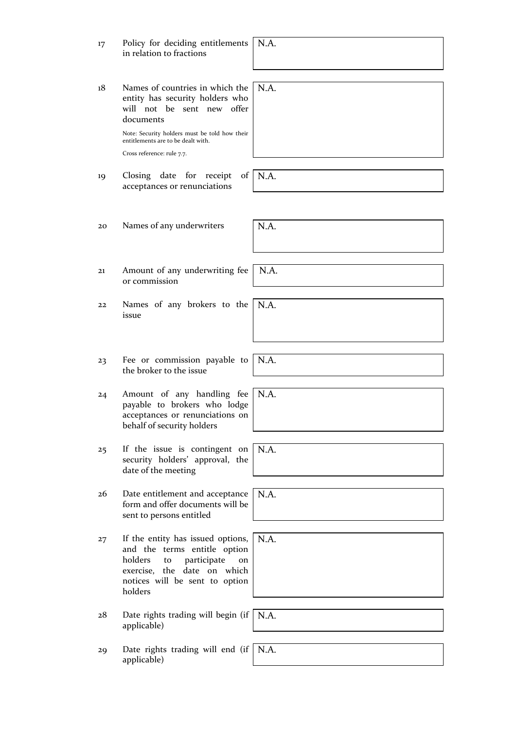| 17 | Policy for deciding entitlements<br>in relation to fractions                                                                                                                        | N.A. |
|----|-------------------------------------------------------------------------------------------------------------------------------------------------------------------------------------|------|
|    |                                                                                                                                                                                     |      |
| 18 | Names of countries in which the<br>entity has security holders who<br>will not be sent new offer<br>documents                                                                       | N.A. |
|    | Note: Security holders must be told how their<br>entitlements are to be dealt with.                                                                                                 |      |
|    | Cross reference: rule 7.7.                                                                                                                                                          |      |
| 19 | Closing<br>date for<br>receipt<br>of<br>acceptances or renunciations                                                                                                                | N.A. |
|    |                                                                                                                                                                                     |      |
| 20 | Names of any underwriters                                                                                                                                                           | N.A. |
|    |                                                                                                                                                                                     |      |
| 21 | Amount of any underwriting fee<br>or commission                                                                                                                                     | N.A. |
|    |                                                                                                                                                                                     |      |
| 22 | Names of any brokers to the<br>issue                                                                                                                                                | N.A. |
|    |                                                                                                                                                                                     |      |
| 23 | Fee or commission payable to<br>the broker to the issue                                                                                                                             | N.A. |
| 24 | Amount of any handling fee<br>payable to brokers who lodge<br>acceptances or renunciations on<br>behalf of security holders                                                         | N.A. |
|    |                                                                                                                                                                                     |      |
| 25 | If the issue is contingent on<br>security holders' approval, the<br>date of the meeting                                                                                             | N.A. |
|    |                                                                                                                                                                                     |      |
| 26 | Date entitlement and acceptance<br>form and offer documents will be<br>sent to persons entitled                                                                                     | N.A. |
|    |                                                                                                                                                                                     |      |
| 27 | If the entity has issued options,<br>and the terms entitle option<br>holders<br>participate<br>to<br>on<br>exercise, the date on which<br>notices will be sent to option<br>holders | N.A. |
|    |                                                                                                                                                                                     |      |
| 28 | Date rights trading will begin (if<br>applicable)                                                                                                                                   | N.A. |
|    |                                                                                                                                                                                     |      |
| 29 | Date rights trading will end (if $\mid$ N.A.<br>applicable)                                                                                                                         |      |
|    |                                                                                                                                                                                     |      |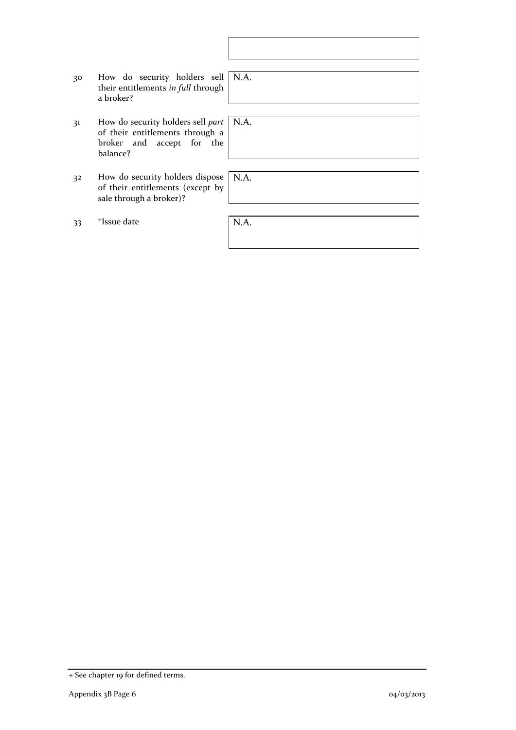| 30 | How do security holders sell   N.A.<br>their entitlements in full through<br>a broker?                        |      |
|----|---------------------------------------------------------------------------------------------------------------|------|
|    |                                                                                                               |      |
| 31 | How do security holders sell part<br>of their entitlements through a<br>broker and accept for the<br>balance? | N.A. |
|    |                                                                                                               |      |
| 32 | How do security holders dispose<br>of their entitlements (except by<br>sale through a broker)?                | N.A. |
|    |                                                                                                               |      |
| 33 | <sup>+</sup> Issue date                                                                                       | N.A. |
|    |                                                                                                               |      |

 $\overline{\phantom{a}}$ 

<sup>+</sup> See chapter 19 for defined terms.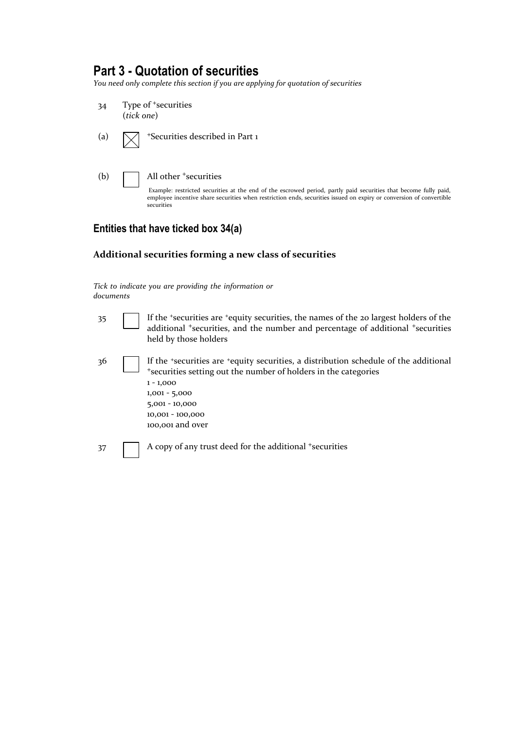### **Part 3 - Quotation of securities**

*You need only complete this section if you are applying for quotation of securities*



#### **Entities that have ticked box 34(a)**

#### **Additional securities forming a new class of securities**

*Tick to indicate you are providing the information or documents*

| 35  | If the 'securities are 'equity securities, the names of the 20 largest holders of the<br>additional <sup>+</sup> securities, and the number and percentage of additional <sup>+</sup> securities<br>held by those holders                             |
|-----|-------------------------------------------------------------------------------------------------------------------------------------------------------------------------------------------------------------------------------------------------------|
| -36 | If the *securities are *equity securities, a distribution schedule of the additional<br>*securities setting out the number of holders in the categories<br>$1 - 1,000$<br>$1,001 - 5,000$<br>$5,001 - 10,000$<br>10,001 - 100,000<br>100,001 and over |
| 37  | A copy of any trust deed for the additional +securities                                                                                                                                                                                               |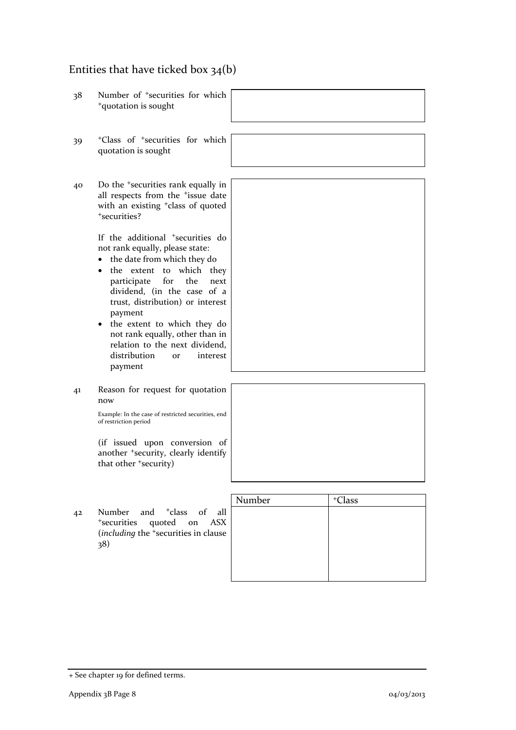## Entities that have ticked box 34(b)

| Number of <sup>+</sup> securities for which<br><sup>+</sup> quotation is sought                                                                                                                                                                                                                                                                                                                                                                                 |        |                    |
|-----------------------------------------------------------------------------------------------------------------------------------------------------------------------------------------------------------------------------------------------------------------------------------------------------------------------------------------------------------------------------------------------------------------------------------------------------------------|--------|--------------------|
| <sup>+</sup> Class of <sup>+</sup> securities for which<br>quotation is sought                                                                                                                                                                                                                                                                                                                                                                                  |        |                    |
| Do the <sup>+</sup> securities rank equally in<br>all respects from the <sup>+</sup> issue date<br>with an existing <sup>+</sup> class of quoted<br><sup>+</sup> securities?                                                                                                                                                                                                                                                                                    |        |                    |
| If the additional <sup>+</sup> securities do<br>not rank equally, please state:<br>the date from which they do<br>$\bullet$<br>the extent to<br>which they<br>$\bullet$<br>for<br>the<br>participate<br>next<br>dividend, (in the case of a<br>trust, distribution) or interest<br>payment<br>the extent to which they do<br>$\bullet$<br>not rank equally, other than in<br>relation to the next dividend,<br>distribution<br>interest<br><b>or</b><br>payment |        |                    |
| Reason for request for quotation<br>now<br>Example: In the case of restricted securities, end<br>of restriction period<br>(if issued upon conversion of<br>another <sup>+</sup> security, clearly identify<br>that other 'security)                                                                                                                                                                                                                             |        |                    |
| and <sup>+</sup> class<br>Number<br>$\sigma$ f<br>all<br><sup>+</sup> securities<br>quoted<br>on<br><b>ASX</b><br>(including the <sup>+</sup> securities in clause<br>38)                                                                                                                                                                                                                                                                                       | Number | <sup>+</sup> Class |
|                                                                                                                                                                                                                                                                                                                                                                                                                                                                 |        |                    |

<sup>+</sup> See chapter 19 for defined terms.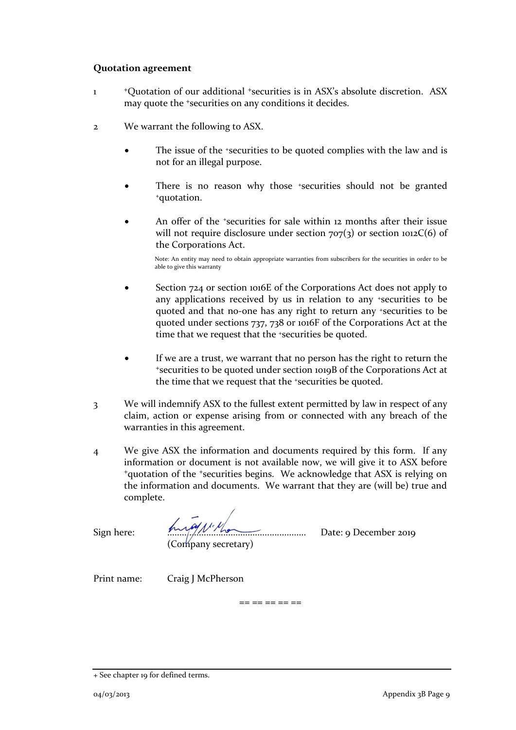#### **Quotation agreement**

- 1 <sup>+</sup>Quotation of our additional <sup>+</sup>securities is in ASX's absolute discretion. ASX may quote the <sup>+</sup>securities on any conditions it decides.
- 2 We warrant the following to ASX.
	- The issue of the +securities to be quoted complies with the law and is not for an illegal purpose.
	- There is no reason why those +securities should not be granted <sup>+</sup>quotation.
	- An offer of the *\*securities* for sale within 12 months after their issue will not require disclosure under section  $707(3)$  or section  $1012C(6)$  of the Corporations Act.

Note: An entity may need to obtain appropriate warranties from subscribers for the securities in order to be able to give this warranty

- Section 724 or section 1016E of the Corporations Act does not apply to any applications received by us in relation to any +securities to be quoted and that no-one has any right to return any +securities to be quoted under sections 737, 738 or 1016F of the Corporations Act at the time that we request that the <sup>+</sup>securities be quoted.
- If we are a trust, we warrant that no person has the right to return the <sup>+</sup>securities to be quoted under section 1019B of the Corporations Act at the time that we request that the +securities be quoted.
- 3 We will indemnify ASX to the fullest extent permitted by law in respect of any claim, action or expense arising from or connected with any breach of the warranties in this agreement.
- 4 We give ASX the information and documents required by this form. If any information or document is not available now, we will give it to ASX before <sup>+</sup>quotation of the <sup>+</sup>securities begins. We acknowledge that ASX is relying on the information and documents. We warrant that they are (will be) true and complete.

 $== == == == ==$ 

 $Sign here: \n \begin{array}{ccc}\n & \textbf{Inv} \sim \textbf{Conv} \\
& \textbf{Conv} \sim \textbf{Conv} \\
& \textbf{Conv} \sim \textbf{Conv} \\
& \textbf{Conv} \sim \textbf{Conv} \\
& \textbf{Conv} \sim \textbf{Conv} \\
& \textbf{Conv} \sim \textbf{Conv} \\
& \textbf{Conv} \sim \textbf{Conv} \\
& \textbf{Conv} \sim \textbf{Conv} \\
& \textbf{Conv} \sim \textbf{Conv} \\
& \textbf{Conv} \sim \textbf{Conv} \\
& \textbf{Conv} \sim \textbf{Conv} \\
& \textbf{Conv} \sim \textbf{Conv} \\
&$ (Company secretary)

Print name: Craig J McPherson

<sup>+</sup> See chapter 19 for defined terms.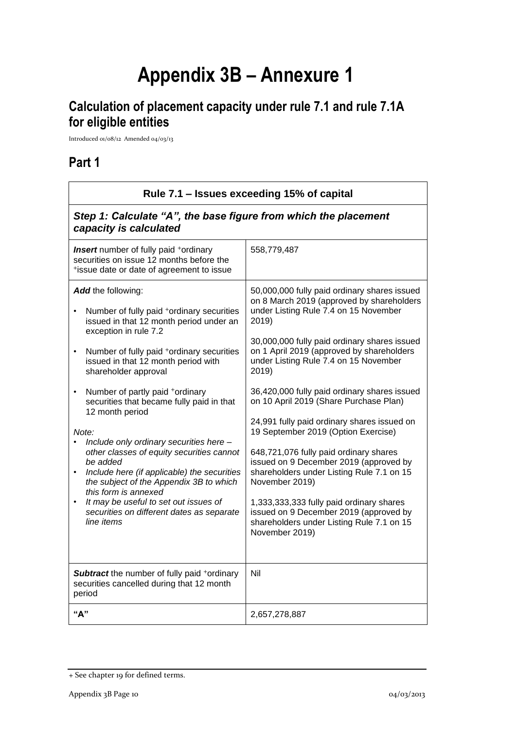# **Appendix 3B – Annexure 1**

## **Calculation of placement capacity under rule 7.1 and rule 7.1A for eligible entities**

Introduced 01/08/12 Amended 04/03/13

## **Part 1**

| Rule 7.1 – Issues exceeding 15% of capital                                                                                                                                                                                                                                                                                                                                                                                                                                                                                                                                                                                                                                                                                                            |                                                                                                                                                                                                                                                                                                                                                                                                                                                                                                                                                                                                                                                                                                                                                                                    |  |
|-------------------------------------------------------------------------------------------------------------------------------------------------------------------------------------------------------------------------------------------------------------------------------------------------------------------------------------------------------------------------------------------------------------------------------------------------------------------------------------------------------------------------------------------------------------------------------------------------------------------------------------------------------------------------------------------------------------------------------------------------------|------------------------------------------------------------------------------------------------------------------------------------------------------------------------------------------------------------------------------------------------------------------------------------------------------------------------------------------------------------------------------------------------------------------------------------------------------------------------------------------------------------------------------------------------------------------------------------------------------------------------------------------------------------------------------------------------------------------------------------------------------------------------------------|--|
| Step 1: Calculate "A", the base figure from which the placement<br>capacity is calculated                                                                                                                                                                                                                                                                                                                                                                                                                                                                                                                                                                                                                                                             |                                                                                                                                                                                                                                                                                                                                                                                                                                                                                                                                                                                                                                                                                                                                                                                    |  |
| <b>Insert</b> number of fully paid +ordinary<br>securities on issue 12 months before the<br>*issue date or date of agreement to issue                                                                                                                                                                                                                                                                                                                                                                                                                                                                                                                                                                                                                 | 558,779,487                                                                                                                                                                                                                                                                                                                                                                                                                                                                                                                                                                                                                                                                                                                                                                        |  |
| Add the following:<br>Number of fully paid +ordinary securities<br>issued in that 12 month period under an<br>exception in rule 7.2<br>Number of fully paid <sup>+</sup> ordinary securities<br>$\bullet$<br>issued in that 12 month period with<br>shareholder approval<br>Number of partly paid +ordinary<br>$\bullet$<br>securities that became fully paid in that<br>12 month period<br>Note:<br>Include only ordinary securities here -<br>other classes of equity securities cannot<br>be added<br>Include here (if applicable) the securities<br>$\bullet$<br>the subject of the Appendix 3B to which<br>this form is annexed<br>It may be useful to set out issues of<br>$\bullet$<br>securities on different dates as separate<br>line items | 50,000,000 fully paid ordinary shares issued<br>on 8 March 2019 (approved by shareholders<br>under Listing Rule 7.4 on 15 November<br>2019)<br>30,000,000 fully paid ordinary shares issued<br>on 1 April 2019 (approved by shareholders<br>under Listing Rule 7.4 on 15 November<br>2019)<br>36,420,000 fully paid ordinary shares issued<br>on 10 April 2019 (Share Purchase Plan)<br>24,991 fully paid ordinary shares issued on<br>19 September 2019 (Option Exercise)<br>648,721,076 fully paid ordinary shares<br>issued on 9 December 2019 (approved by<br>shareholders under Listing Rule 7.1 on 15<br>November 2019)<br>1,333,333,333 fully paid ordinary shares<br>issued on 9 December 2019 (approved by<br>shareholders under Listing Rule 7.1 on 15<br>November 2019) |  |
| <b>Subtract</b> the number of fully paid +ordinary<br>securities cancelled during that 12 month<br>period                                                                                                                                                                                                                                                                                                                                                                                                                                                                                                                                                                                                                                             | Nil                                                                                                                                                                                                                                                                                                                                                                                                                                                                                                                                                                                                                                                                                                                                                                                |  |
| "А"                                                                                                                                                                                                                                                                                                                                                                                                                                                                                                                                                                                                                                                                                                                                                   | 2,657,278,887                                                                                                                                                                                                                                                                                                                                                                                                                                                                                                                                                                                                                                                                                                                                                                      |  |

<sup>+</sup> See chapter 19 for defined terms.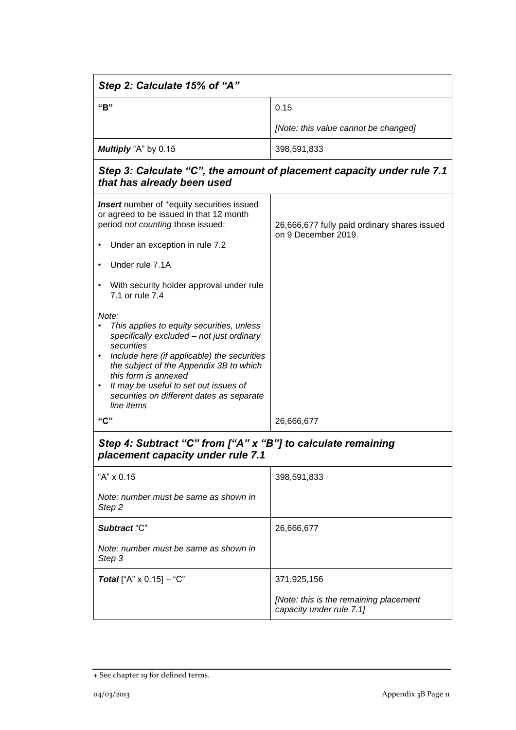| Step 2: Calculate 15% of "A"                                                                                                                                                                                                                                                                                                        |                                                                        |  |
|-------------------------------------------------------------------------------------------------------------------------------------------------------------------------------------------------------------------------------------------------------------------------------------------------------------------------------------|------------------------------------------------------------------------|--|
| "B"                                                                                                                                                                                                                                                                                                                                 | 0.15                                                                   |  |
|                                                                                                                                                                                                                                                                                                                                     | [Note: this value cannot be changed]                                   |  |
| Multiply "A" by 0.15                                                                                                                                                                                                                                                                                                                | 398,591,833                                                            |  |
| that has already been used                                                                                                                                                                                                                                                                                                          | Step 3: Calculate "C", the amount of placement capacity under rule 7.1 |  |
| <b>Insert</b> number of <sup>+</sup> equity securities issued<br>or agreed to be issued in that 12 month<br>period not counting those issued:<br>Under an exception in rule 7.2                                                                                                                                                     | 26,666,677 fully paid ordinary shares issued<br>on 9 December 2019.    |  |
| Under rule 7.1A<br>With security holder approval under rule<br>$\bullet$<br>7.1 or rule 7.4                                                                                                                                                                                                                                         |                                                                        |  |
| Note:<br>This applies to equity securities, unless<br>specifically excluded - not just ordinary<br>securities<br>Include here (if applicable) the securities<br>the subject of the Appendix 3B to which<br>this form is annexed<br>It may be useful to set out issues of<br>securities on different dates as separate<br>line items |                                                                        |  |
| "C"                                                                                                                                                                                                                                                                                                                                 | 26,666,677                                                             |  |
| Step 4: Subtract "C" from ["A" x "B"] to calculate remaining<br>placement capacity under rule 7.1                                                                                                                                                                                                                                   |                                                                        |  |
| "A" x 0.15                                                                                                                                                                                                                                                                                                                          | 398,591,833                                                            |  |
| Note: number must be same as shown in<br>Step 2                                                                                                                                                                                                                                                                                     |                                                                        |  |
| Subtract "C"                                                                                                                                                                                                                                                                                                                        | 26,666,677                                                             |  |
| Note: number must be same as shown in<br>Step 3                                                                                                                                                                                                                                                                                     |                                                                        |  |
| <b>Total</b> ["A" $\times$ 0.15] - "C"                                                                                                                                                                                                                                                                                              | 371,925,156                                                            |  |
|                                                                                                                                                                                                                                                                                                                                     | [Note: this is the remaining placement<br>capacity under rule 7.1]     |  |

<sup>+</sup> See chapter 19 for defined terms.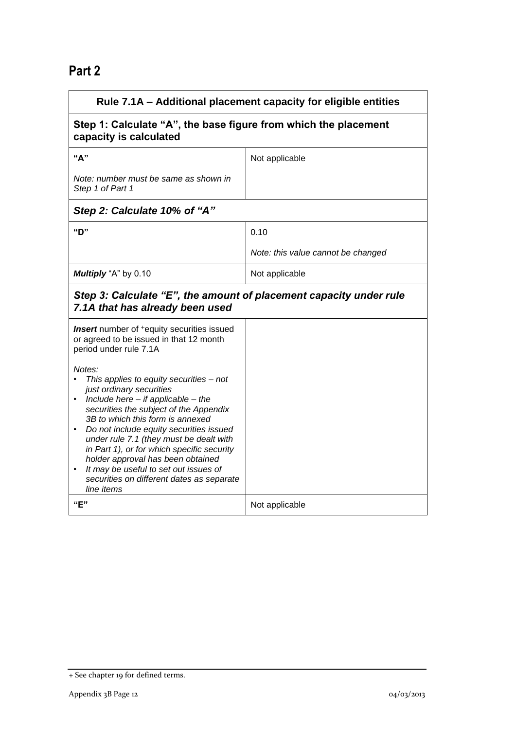## **Part 2**

| Rule 7.1A - Additional placement capacity for eligible entities                                                                                                                                                                                                                                                                                                                                                                                                                    |                                    |
|------------------------------------------------------------------------------------------------------------------------------------------------------------------------------------------------------------------------------------------------------------------------------------------------------------------------------------------------------------------------------------------------------------------------------------------------------------------------------------|------------------------------------|
| Step 1: Calculate "A", the base figure from which the placement<br>capacity is calculated                                                                                                                                                                                                                                                                                                                                                                                          |                                    |
| "А"                                                                                                                                                                                                                                                                                                                                                                                                                                                                                | Not applicable                     |
| Note: number must be same as shown in<br>Step 1 of Part 1                                                                                                                                                                                                                                                                                                                                                                                                                          |                                    |
| Step 2: Calculate 10% of "A"                                                                                                                                                                                                                                                                                                                                                                                                                                                       |                                    |
| "D"                                                                                                                                                                                                                                                                                                                                                                                                                                                                                | 0.10                               |
|                                                                                                                                                                                                                                                                                                                                                                                                                                                                                    | Note: this value cannot be changed |
| Multiply "A" by 0.10                                                                                                                                                                                                                                                                                                                                                                                                                                                               | Not applicable                     |
| Step 3: Calculate "E", the amount of placement capacity under rule<br>7.1A that has already been used                                                                                                                                                                                                                                                                                                                                                                              |                                    |
| <b>Insert</b> number of <sup>+</sup> equity securities issued<br>or agreed to be issued in that 12 month<br>period under rule 7.1A                                                                                                                                                                                                                                                                                                                                                 |                                    |
| Notes:<br>This applies to equity securities - not<br>just ordinary securities<br>Include here $-$ if applicable $-$ the<br>securities the subject of the Appendix<br>3B to which this form is annexed<br>Do not include equity securities issued<br>under rule 7.1 (they must be dealt with<br>in Part 1), or for which specific security<br>holder approval has been obtained<br>It may be useful to set out issues of<br>securities on different dates as separate<br>line items |                                    |
| "E"                                                                                                                                                                                                                                                                                                                                                                                                                                                                                | Not applicable                     |

<sup>+</sup> See chapter 19 for defined terms.